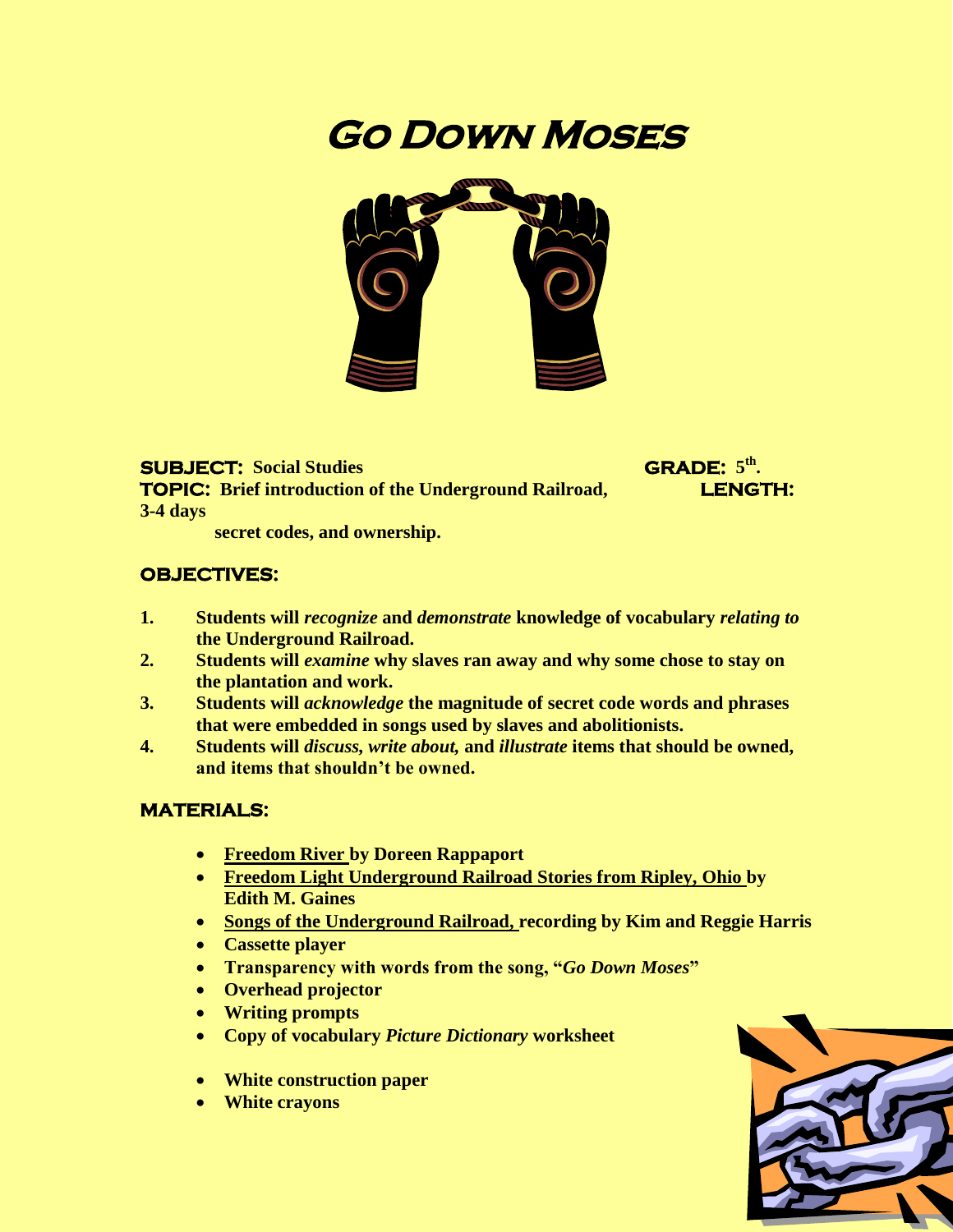# **Go Down Moses**



 $SUBJECT: Social Studies$ **TOPIC:** Brief introduction of the Underground Railroad, **LENGTH: 3-4 days**

**th .** 

 **secret codes, and ownership.**

#### **OBJECTIVES:**

- **1. Students will** *recognize* **and** *demonstrate* **knowledge of vocabulary** *relating to* **the Underground Railroad.**
- **2. Students will** *examine* **why slaves ran away and why some chose to stay on the plantation and work.**
- **3. Students will** *acknowledge* **the magnitude of secret code words and phrases that were embedded in songs used by slaves and abolitionists.**
- **4. Students will** *discuss, write about,* **and** *illustrate* **items that should be owned, and items that shouldn't be owned.**

#### **MATERIALS:**

- **Freedom River by Doreen Rappaport**
- **Freedom Light Underground Railroad Stories from Ripley, Ohio by Edith M. Gaines**
- **Songs of the Underground Railroad, recording by Kim and Reggie Harris**
- **Cassette player**
- **Transparency with words from the song, "***Go Down Moses***"**
- **Overhead projector**
- **Writing prompts**
- **Copy of vocabulary** *Picture Dictionary* **worksheet**
- **White construction paper**
- **White crayons**

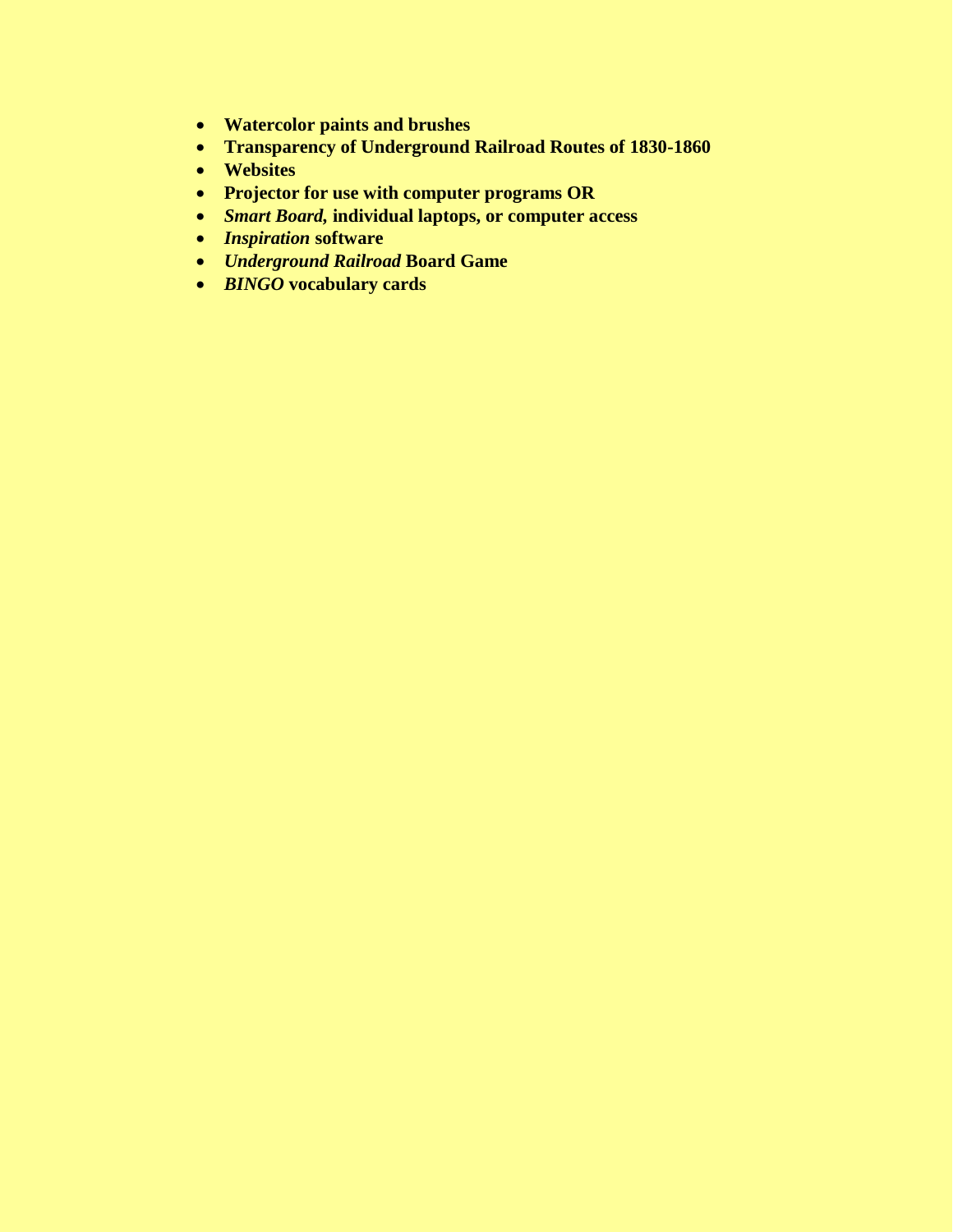- **Watercolor paints and brushes**
- **Transparency of Underground Railroad Routes of 1830-1860**
- **Websites**
- **Projector for use with computer programs OR**
- *Smart Board,* **individual laptops, or computer access**
- *Inspiration* **software**
- *Underground Railroad* **Board Game**
- *BINGO* **vocabulary cards**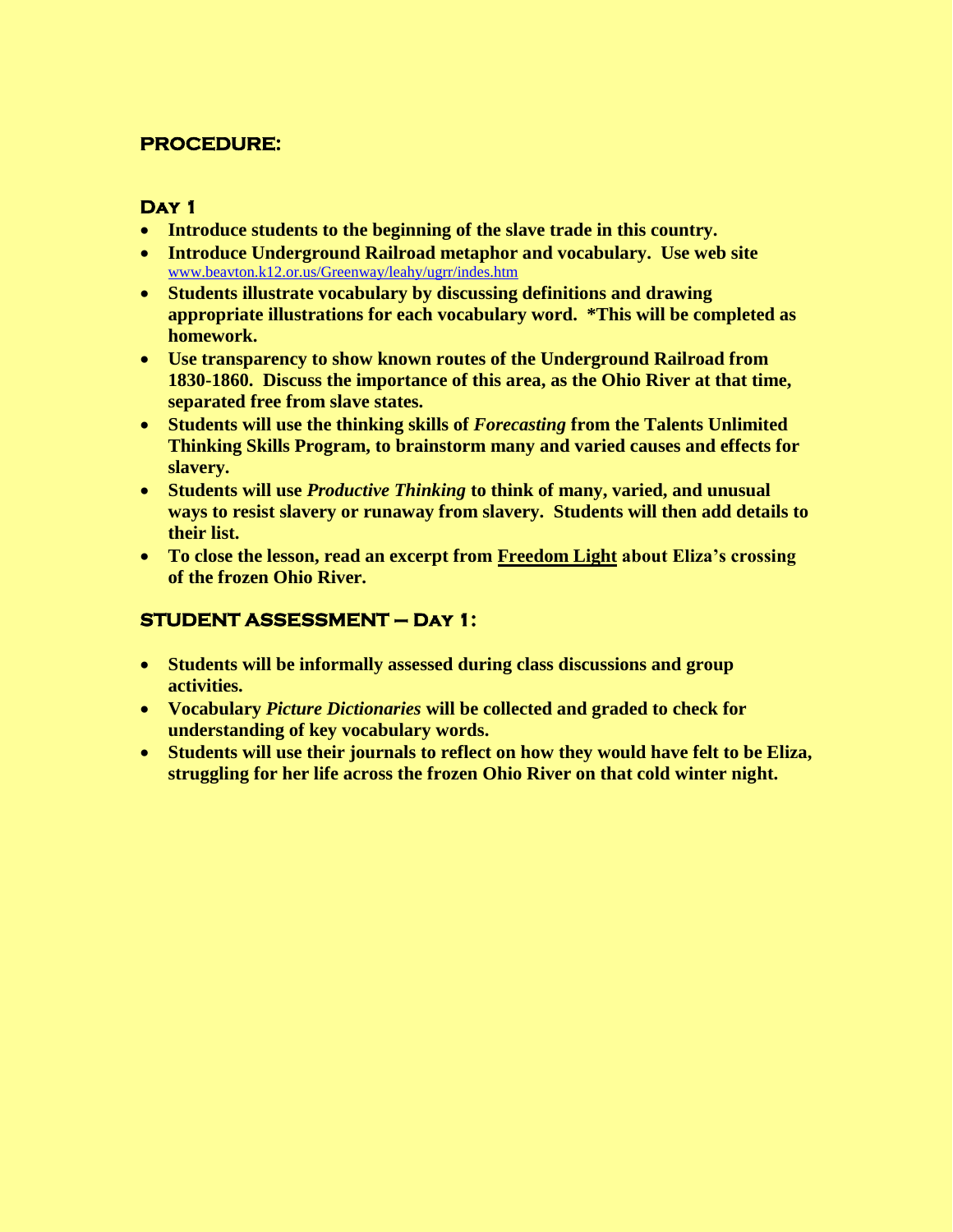## **PROCEDURE:**

#### **Day 1**

- **Introduce students to the beginning of the slave trade in this country.**
- **Introduce Underground Railroad metaphor and vocabulary. Use web site**  [www.beavton.k12.or.us/Greenway/leahy/ugrr/indes.htm](http://www.beavton.k12.or.us/Greenway/leahy/ugrr/indes.htm)
- **Students illustrate vocabulary by discussing definitions and drawing appropriate illustrations for each vocabulary word. \*This will be completed as homework.**
- **Use transparency to show known routes of the Underground Railroad from 1830-1860. Discuss the importance of this area, as the Ohio River at that time, separated free from slave states.**
- **Students will use the thinking skills of** *Forecasting* **from the Talents Unlimited Thinking Skills Program, to brainstorm many and varied causes and effects for slavery.**
- **Students will use** *Productive Thinking* **to think of many, varied, and unusual ways to resist slavery or runaway from slavery. Students will then add details to their list.**
- **To close the lesson, read an excerpt from Freedom Light about Eliza's crossing of the frozen Ohio River.**

## **STUDENT ASSESSMENT – Day 1:**

- **Students will be informally assessed during class discussions and group activities.**
- **Vocabulary** *Picture Dictionaries* **will be collected and graded to check for understanding of key vocabulary words.**
- **Students will use their journals to reflect on how they would have felt to be Eliza, struggling for her life across the frozen Ohio River on that cold winter night.**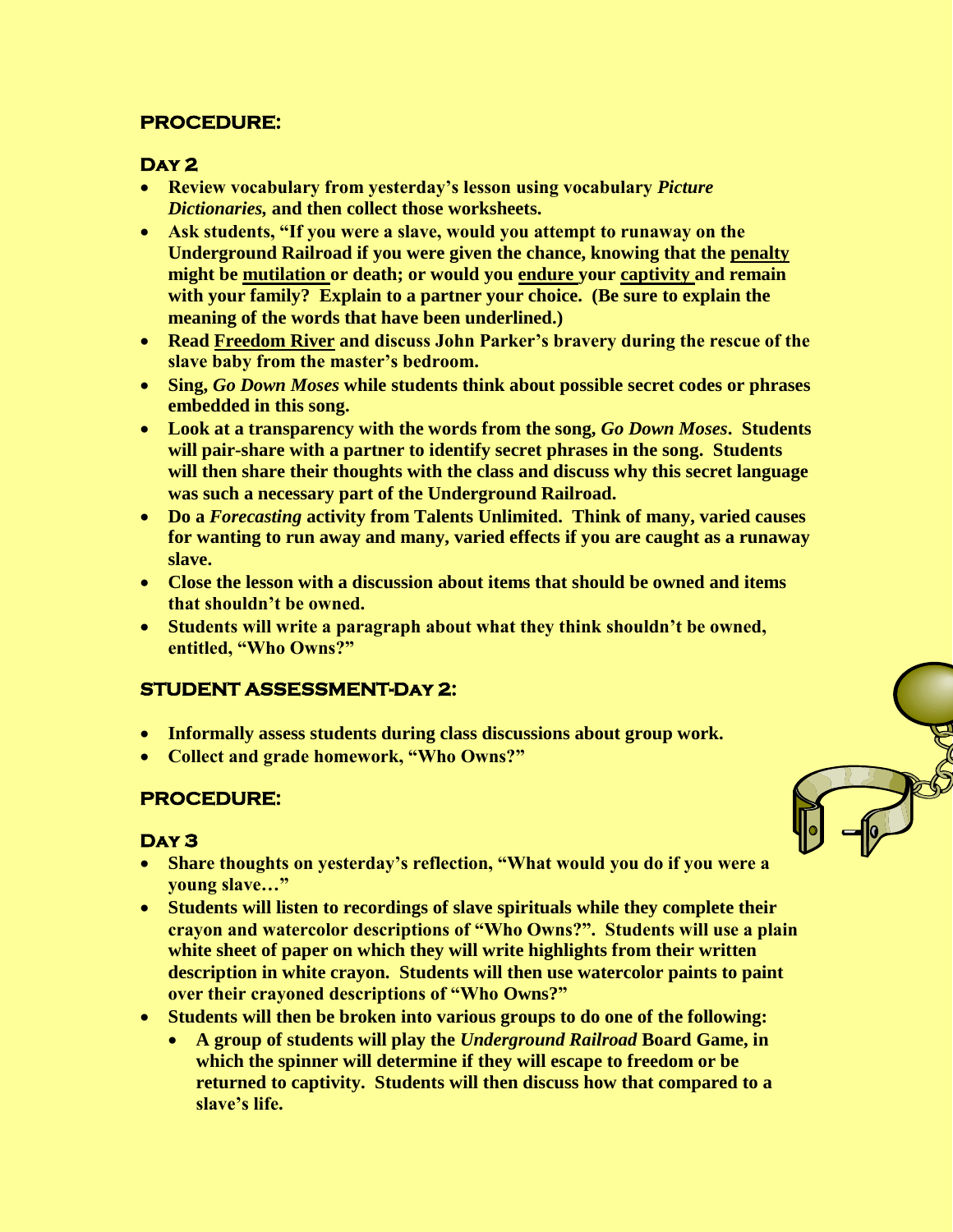## **PROCEDURE:**

## **Day 2**

- **Review vocabulary from yesterday's lesson using vocabulary** *Picture Dictionaries,* **and then collect those worksheets.**
- **Ask students, "If you were a slave, would you attempt to runaway on the Underground Railroad if you were given the chance, knowing that the penalty might be mutilation or death; or would you endure your captivity and remain with your family? Explain to a partner your choice. (Be sure to explain the meaning of the words that have been underlined.)**
- **Read Freedom River and discuss John Parker's bravery during the rescue of the slave baby from the master's bedroom.**
- **Sing,** *Go Down Moses* **while students think about possible secret codes or phrases embedded in this song.**
- **Look at a transparency with the words from the song,** *Go Down Moses***. Students will pair-share with a partner to identify secret phrases in the song. Students will then share their thoughts with the class and discuss why this secret language was such a necessary part of the Underground Railroad.**
- **Do a** *Forecasting* **activity from Talents Unlimited. Think of many, varied causes for wanting to run away and many, varied effects if you are caught as a runaway slave.**
- **Close the lesson with a discussion about items that should be owned and items that shouldn't be owned.**
- **Students will write a paragraph about what they think shouldn't be owned, entitled, "Who Owns?"**

# **STUDENT ASSESSMENT-Day 2:**

- **Informally assess students during class discussions about group work.**
- **Collect and grade homework, "Who Owns?"**

## **PROCEDURE:**

## **Day 3**

- **Share thoughts on yesterday's reflection, "What would you do if you were a young slave…"**
- **Students will listen to recordings of slave spirituals while they complete their crayon and watercolor descriptions of "Who Owns?". Students will use a plain white sheet of paper on which they will write highlights from their written description in white crayon. Students will then use watercolor paints to paint over their crayoned descriptions of "Who Owns?"**
- **Students will then be broken into various groups to do one of the following:**
	- **A group of students will play the** *Underground Railroad* **Board Game, in which the spinner will determine if they will escape to freedom or be returned to captivity. Students will then discuss how that compared to a slave's life.**